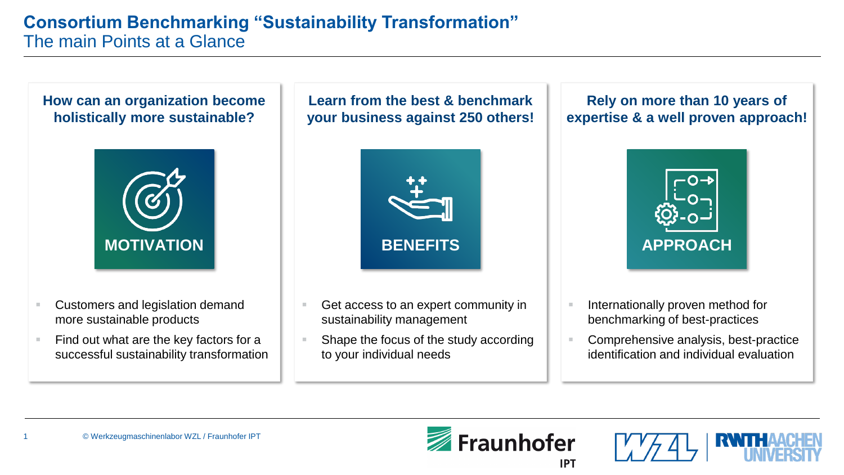**[How can an organization become](#page-1-0)  holistically more sustainable?**



- Customers and legislation demand more sustainable products
- Find out what are the key factors for a successful sustainability transformation

**[Learn from the best & benchmark](#page-2-0)  your business against 250 others!**



- Get access to an expert community in sustainability management
- Shape the focus of the study according to your individual needs

#### **Rely on more than 10 years of [expertise & a well proven approach!](#page-3-0)**



- Internationally proven method for benchmarking of best-practices
- Comprehensive analysis, best-practice identification and individual evaluation



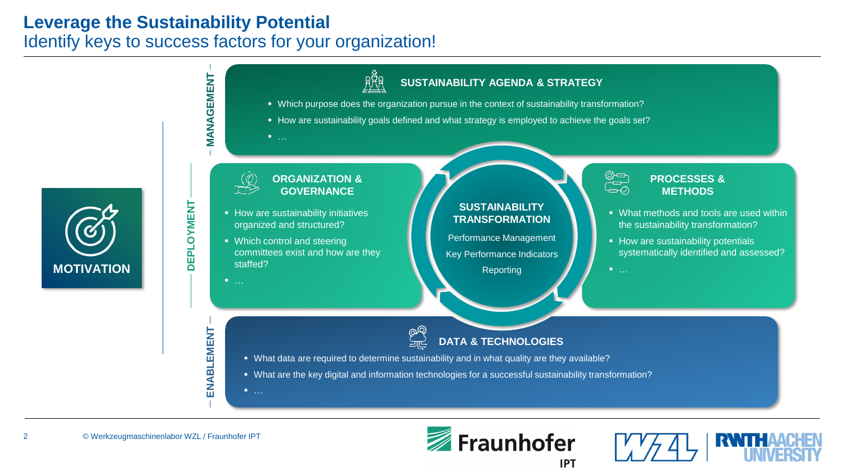# <span id="page-1-0"></span>**Leverage the Sustainability Potential** Identify keys to success factors for your organization!



**[MOTIVATION](#page-1-0)**



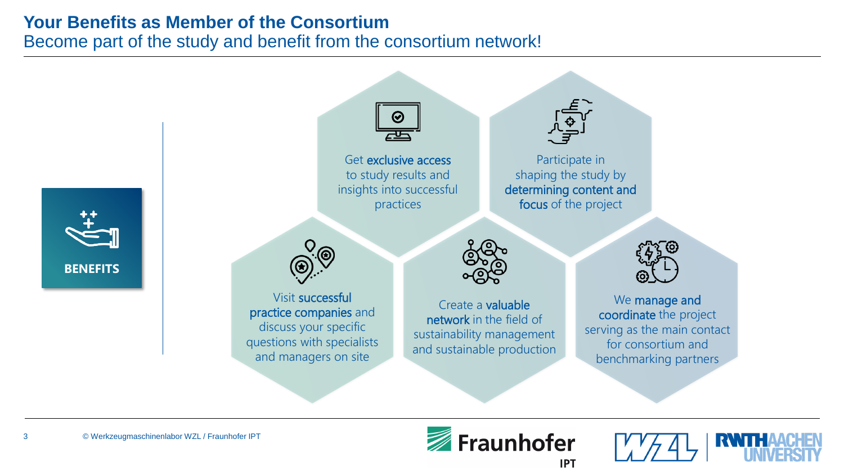# <span id="page-2-0"></span>**Your Benefits as Member of the Consortium**

Become part of the study and benefit from the consortium network!





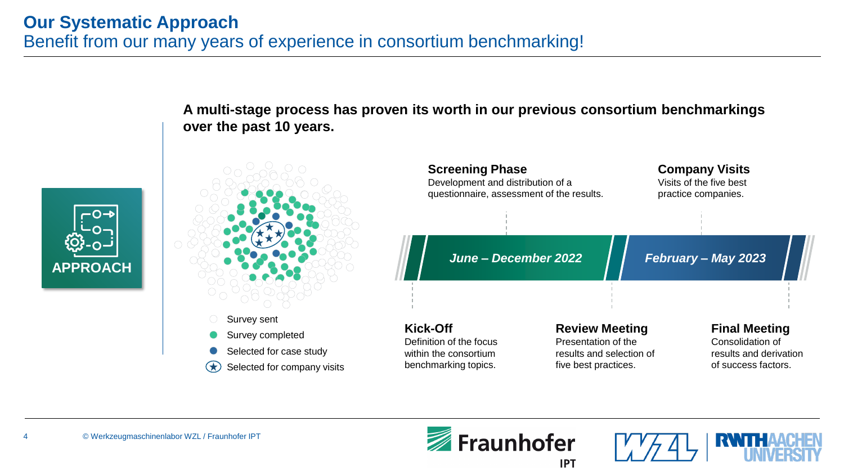<span id="page-3-0"></span>



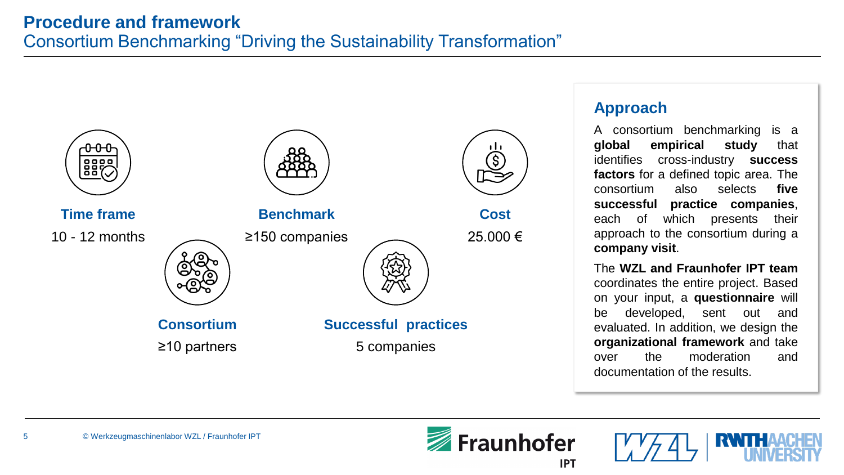

#### **Approach**

A consortium benchmarking is a **global empirical study** that identifies cross-industry **success factors** for a defined topic area. The consortium also selects **five successful practice companies**, each of which presents their approach to the consortium during a **company visit**.

The **WZL and Fraunhofer IPT team** coordinates the entire project. Based on your input, a **questionnaire** will be developed, sent out and evaluated. In addition, we design the **organizational framework** and take over the moderation and documentation of the results.